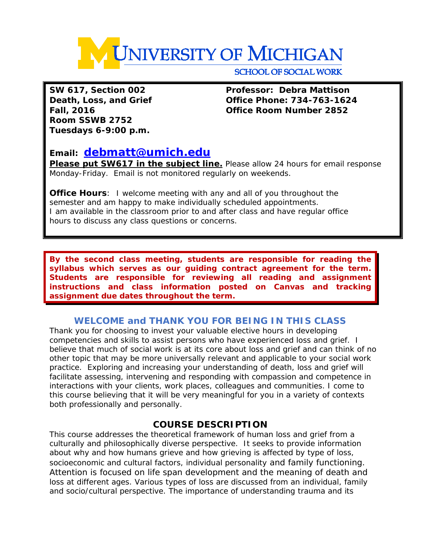

**SCHOOL OF SOCIAL WORK** 

**Room SSWB 2752 Tuesdays 6-9:00 p.m.**

**SW 617, Section 002 Professor: Debra Mattison Death, Loss, and Grief Office Phone: 734-763-1624 Fall, 2016 Office Room Number 2852**

# **Email: [debmatt@umich.edu](mailto:debmatt@umich.edu)**

**Please put SW617 in the subject line.** Please allow 24 hours for email response Monday-Friday. Email is not monitored regularly on weekends.

**Office Hours**: I welcome meeting with any and all of you throughout the semester and am happy to make individually scheduled appointments. I am available in the classroom prior to and after class and have regular office hours to discuss any class questions or concerns.

**By the second class meeting, students are responsible for reading the syllabus which serves as our guiding contract agreement for the term. Students are responsible for reviewing all reading and assignment instructions and class information posted on Canvas and tracking assignment due dates throughout the term.** 

## **WELCOME and THANK YOU FOR BEING IN THIS CLASS**

Thank you for choosing to invest your valuable elective hours in developing competencies and skills to assist persons who have experienced loss and grief. I believe that much of social work is at its core about loss and grief and can think of no other topic that may be more universally relevant and applicable to your social work practice. Exploring and increasing your understanding of death, loss and grief will facilitate assessing, intervening and responding with compassion and competence in interactions with your clients, work places, colleagues and communities. I come to this course believing that it will be very meaningful for you in a variety of contexts both professionally and personally.

## **COURSE DESCRIPTION**

This course addresses the theoretical framework of human loss and grief from a culturally and philosophically diverse perspective. It seeks to provide information about why and how humans grieve and how grieving is affected by type of loss, socioeconomic and cultural factors, individual personality and family functioning. Attention is focused on life span development and the meaning of death and loss at different ages. Various types of loss are discussed from an individual, family and socio/cultural perspective. The importance of understanding trauma and its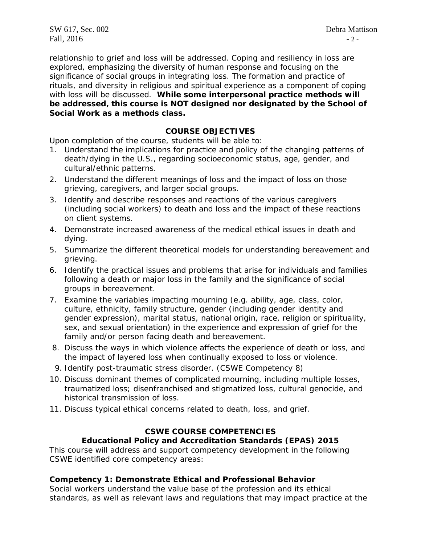relationship to grief and loss will be addressed. Coping and resiliency in loss are explored, emphasizing the diversity of human response and focusing on the significance of social groups in integrating loss. The formation and practice of rituals, and diversity in religious and spiritual experience as a component of coping with loss will be discussed. **While some interpersonal practice methods will be addressed, this course is NOT designed nor designated by the School of Social Work as a methods class.**

#### **COURSE OBJECTIVES**

Upon completion of the course, students will be able to:

- 1. Understand the implications for practice and policy of the changing patterns of death/dying in the U.S., regarding socioeconomic status, age, gender, and cultural/ethnic patterns.
- 2. Understand the different meanings of loss and the impact of loss on those grieving, caregivers, and larger social groups.
- 3. Identify and describe responses and reactions of the various caregivers (including social workers) to death and loss and the impact of these reactions on client systems.
- 4. Demonstrate increased awareness of the medical ethical issues in death and dying.
- 5. Summarize the different theoretical models for understanding bereavement and grieving.
- 6. Identify the practical issues and problems that arise for individuals and families following a death or major loss in the family and the significance of social groups in bereavement.
- 7. Examine the variables impacting mourning (e.g. ability, age, class, color, culture, ethnicity, family structure, gender (including gender identity and gender expression), marital status, national origin, race, religion or spirituality, sex, and sexual orientation) in the experience and expression of grief for the family and/or person facing death and bereavement.
- 8. Discuss the ways in which violence affects the experience of death or loss, and the impact of layered loss when continually exposed to loss or violence.
- 9. Identify post-traumatic stress disorder. (CSWE Competency 8)
- 10. Discuss dominant themes of complicated mourning, including multiple losses, traumatized loss; disenfranchised and stigmatized loss, cultural genocide, and historical transmission of loss.
- 11. Discuss typical ethical concerns related to death, loss, and grief.

## **CSWE COURSE COMPETENCIES**

## **Educational Policy and Accreditation Standards (EPAS) 2015**

This course will address and support competency development in the following CSWE identified core competency areas:

#### **Competency 1: Demonstrate Ethical and Professional Behavior**

Social workers understand the value base of the profession and its ethical standards, as well as relevant laws and regulations that may impact practice at the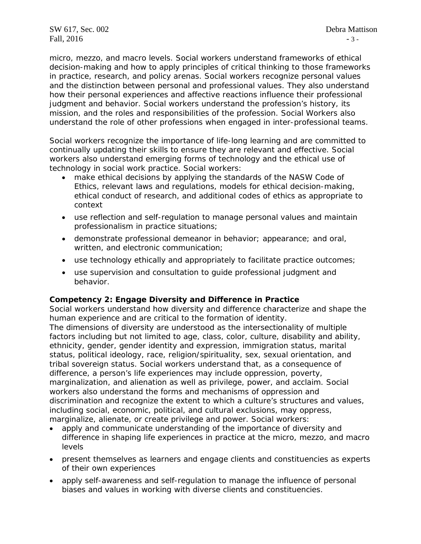SW 617, Sec. 002 Debra Mattison Fall,  $2016$  - 3 -

micro, mezzo, and macro levels. Social workers understand frameworks of ethical decision-making and how to apply principles of critical thinking to those frameworks in practice, research, and policy arenas. Social workers recognize personal values and the distinction between personal and professional values. They also understand how their personal experiences and affective reactions influence their professional judgment and behavior. Social workers understand the profession's history, its mission, and the roles and responsibilities of the profession. Social Workers also understand the role of other professions when engaged in inter-professional teams.

Social workers recognize the importance of life-long learning and are committed to continually updating their skills to ensure they are relevant and effective. Social workers also understand emerging forms of technology and the ethical use of technology in social work practice. Social workers:

- make ethical decisions by applying the standards of the NASW Code of Ethics, relevant laws and regulations, models for ethical decision-making, ethical conduct of research, and additional codes of ethics as appropriate to context
- use reflection and self-regulation to manage personal values and maintain professionalism in practice situations;
- demonstrate professional demeanor in behavior; appearance; and oral, written, and electronic communication;
- use technology ethically and appropriately to facilitate practice outcomes;
- use supervision and consultation to guide professional judgment and behavior.

#### **Competency 2: Engage Diversity and Difference in Practice**

Social workers understand how diversity and difference characterize and shape the human experience and are critical to the formation of identity.

The dimensions of diversity are understood as the intersectionality of multiple factors including but not limited to age, class, color, culture, disability and ability, ethnicity, gender, gender identity and expression, immigration status, marital status, political ideology, race, religion/spirituality, sex, sexual orientation, and tribal sovereign status. Social workers understand that, as a consequence of difference, a person's life experiences may include oppression, poverty, marginalization, and alienation as well as privilege, power, and acclaim. Social workers also understand the forms and mechanisms of oppression and discrimination and recognize the extent to which a culture's structures and values, including social, economic, political, and cultural exclusions, may oppress, marginalize, alienate, or create privilege and power. Social workers:

- apply and communicate understanding of the importance of diversity and difference in shaping life experiences in practice at the micro, mezzo, and macro levels
- present themselves as learners and engage clients and constituencies as experts of their own experiences
- apply self-awareness and self-regulation to manage the influence of personal biases and values in working with diverse clients and constituencies.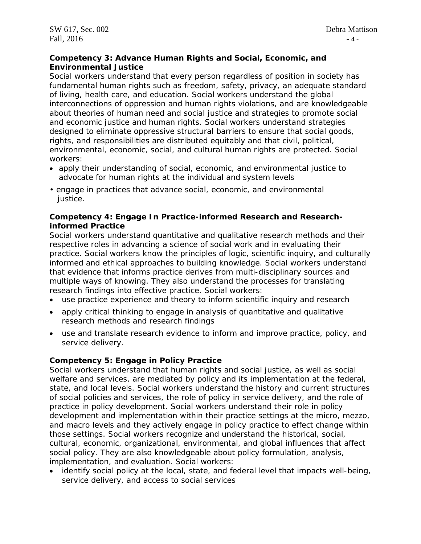### **Competency 3: Advance Human Rights and Social, Economic, and Environmental Justice**

Social workers understand that every person regardless of position in society has fundamental human rights such as freedom, safety, privacy, an adequate standard of living, health care, and education. Social workers understand the global interconnections of oppression and human rights violations, and are knowledgeable about theories of human need and social justice and strategies to promote social and economic justice and human rights. Social workers understand strategies designed to eliminate oppressive structural barriers to ensure that social goods, rights, and responsibilities are distributed equitably and that civil, political, environmental, economic, social, and cultural human rights are protected. Social workers:

- apply their understanding of social, economic, and environmental justice to advocate for human rights at the individual and system levels
- engage in practices that advance social, economic, and environmental justice.

#### **Competency 4: Engage In Practice-informed Research and Researchinformed Practice**

Social workers understand quantitative and qualitative research methods and their respective roles in advancing a science of social work and in evaluating their practice. Social workers know the principles of logic, scientific inquiry, and culturally informed and ethical approaches to building knowledge. Social workers understand that evidence that informs practice derives from multi-disciplinary sources and multiple ways of knowing. They also understand the processes for translating research findings into effective practice. Social workers:

- use practice experience and theory to inform scientific inquiry and research
- apply critical thinking to engage in analysis of quantitative and qualitative research methods and research findings
- use and translate research evidence to inform and improve practice, policy, and service delivery.

## **Competency 5: Engage in Policy Practice**

Social workers understand that human rights and social justice, as well as social welfare and services, are mediated by policy and its implementation at the federal, state, and local levels. Social workers understand the history and current structures of social policies and services, the role of policy in service delivery, and the role of practice in policy development. Social workers understand their role in policy development and implementation within their practice settings at the micro, mezzo, and macro levels and they actively engage in policy practice to effect change within those settings. Social workers recognize and understand the historical, social, cultural, economic, organizational, environmental, and global influences that affect social policy. They are also knowledgeable about policy formulation, analysis, implementation, and evaluation. Social workers:

• identify social policy at the local, state, and federal level that impacts well-being, service delivery, and access to social services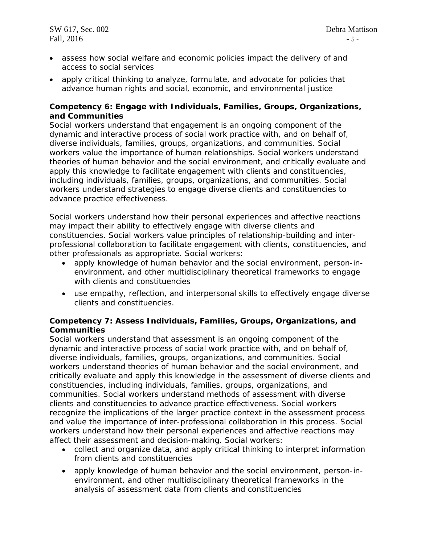- assess how social welfare and economic policies impact the delivery of and access to social services
- apply critical thinking to analyze, formulate, and advocate for policies that advance human rights and social, economic, and environmental justice

#### **Competency 6: Engage with Individuals, Families, Groups, Organizations, and Communities**

Social workers understand that engagement is an ongoing component of the dynamic and interactive process of social work practice with, and on behalf of, diverse individuals, families, groups, organizations, and communities. Social workers value the importance of human relationships. Social workers understand theories of human behavior and the social environment, and critically evaluate and apply this knowledge to facilitate engagement with clients and constituencies, including individuals, families, groups, organizations, and communities. Social workers understand strategies to engage diverse clients and constituencies to advance practice effectiveness.

Social workers understand how their personal experiences and affective reactions may impact their ability to effectively engage with diverse clients and constituencies. Social workers value principles of relationship-building and interprofessional collaboration to facilitate engagement with clients, constituencies, and other professionals as appropriate. Social workers:

- apply knowledge of human behavior and the social environment, person-inenvironment, and other multidisciplinary theoretical frameworks to engage with clients and constituencies
- use empathy, reflection, and interpersonal skills to effectively engage diverse clients and constituencies.

## **Competency 7: Assess Individuals, Families, Groups, Organizations, and Communities**

Social workers understand that assessment is an ongoing component of the dynamic and interactive process of social work practice with, and on behalf of, diverse individuals, families, groups, organizations, and communities. Social workers understand theories of human behavior and the social environment, and critically evaluate and apply this knowledge in the assessment of diverse clients and constituencies, including individuals, families, groups, organizations, and communities. Social workers understand methods of assessment with diverse clients and constituencies to advance practice effectiveness. Social workers recognize the implications of the larger practice context in the assessment process and value the importance of inter-professional collaboration in this process. Social workers understand how their personal experiences and affective reactions may affect their assessment and decision-making. Social workers:

- collect and organize data, and apply critical thinking to interpret information from clients and constituencies
- apply knowledge of human behavior and the social environment, person-inenvironment, and other multidisciplinary theoretical frameworks in the analysis of assessment data from clients and constituencies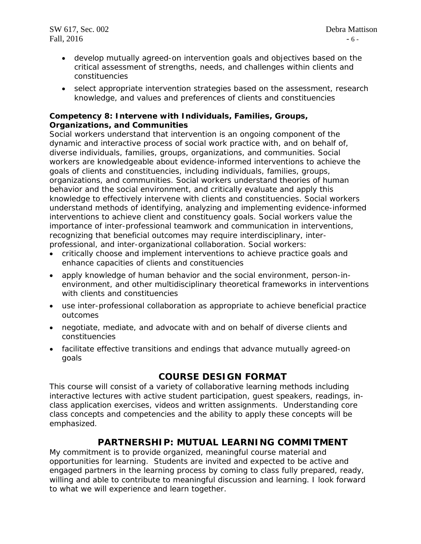- develop mutually agreed-on intervention goals and objectives based on the critical assessment of strengths, needs, and challenges within clients and constituencies
- select appropriate intervention strategies based on the assessment, research knowledge, and values and preferences of clients and constituencies

#### **Competency 8: Intervene with Individuals, Families, Groups, Organizations, and Communities**

Social workers understand that intervention is an ongoing component of the dynamic and interactive process of social work practice with, and on behalf of, diverse individuals, families, groups, organizations, and communities. Social workers are knowledgeable about evidence-informed interventions to achieve the goals of clients and constituencies, including individuals, families, groups, organizations, and communities. Social workers understand theories of human behavior and the social environment, and critically evaluate and apply this knowledge to effectively intervene with clients and constituencies. Social workers understand methods of identifying, analyzing and implementing evidence-informed interventions to achieve client and constituency goals. Social workers value the importance of inter-professional teamwork and communication in interventions, recognizing that beneficial outcomes may require interdisciplinary, interprofessional, and inter-organizational collaboration. Social workers:

- critically choose and implement interventions to achieve practice goals and enhance capacities of clients and constituencies
- apply knowledge of human behavior and the social environment, person-inenvironment, and other multidisciplinary theoretical frameworks in interventions with clients and constituencies
- use inter-professional collaboration as appropriate to achieve beneficial practice outcomes
- negotiate, mediate, and advocate with and on behalf of diverse clients and constituencies
- facilitate effective transitions and endings that advance mutually agreed-on goals

# **COURSE DESIGN FORMAT**

This course will consist of a variety of collaborative learning methods including interactive lectures with active student participation, guest speakers, readings, inclass application exercises, videos and written assignments. Understanding core class concepts and competencies and the ability to apply these concepts will be emphasized.

## **PARTNERSHIP: MUTUAL LEARNING COMMITMENT**

My commitment is to provide organized, meaningful course material and opportunities for learning. Students are invited and expected to be active and engaged partners in the learning process by coming to class fully prepared, ready, willing and able to contribute to meaningful discussion and learning. I look forward to what we will experience and learn together.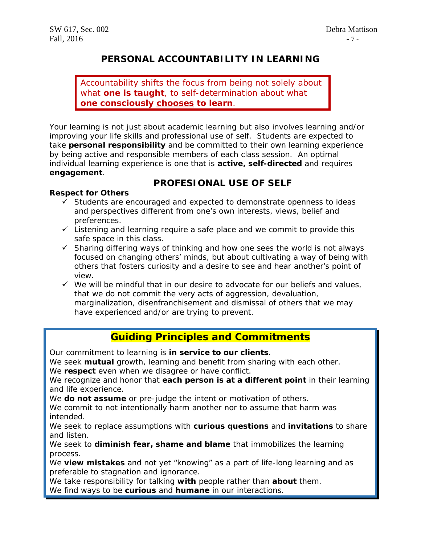# **PERSONAL ACCOUNTABILITY IN LEARNING**

Accountability shifts the focus from being *not solely about what one is taught, to self-determination about what one consciously chooses to learn.*

Your learning is not just about academic learning but also involves learning and/or improving your life skills and professional use of self. Students are expected to take **personal responsibility** and be committed to their own learning experience by being active and responsible members of each class session. An optimal individual learning experience is one that is **active, self-directed** and requires **engagement**.

# **PROFESIONAL USE OF SELF**

## **Respect for Others**

- Students are encouraged and expected to demonstrate openness to ideas and perspectives different from one's own interests, views, belief and preferences.
- $\checkmark$  Listening and learning require a safe place and we commit to provide this safe space in this class.
- $\checkmark$  Sharing differing ways of thinking and how one sees the world is not always focused on changing others' minds, but about cultivating a way of being with others that fosters curiosity and a desire to see and hear another's point of view.
- $\checkmark$  We will be mindful that in our desire to advocate for our beliefs and values, that we do not commit the very acts of aggression, devaluation, marginalization, disenfranchisement and dismissal of others that we may have experienced and/or are trying to prevent.

# *Guiding Principles and Commitments*

*Our commitment to learning is in service to our clients.*

We seek **mutual** growth, learning and benefit from sharing with each other.

*We respect even when we disagree or have conflict.*

We recognize and honor that **each person is at a different point** in their learning and life experience.

*We do not assume or pre-judge the intent or motivation of others.*

*We commit to not intentionally harm another nor to assume that harm was intended.*

We seek to replace assumptions with **curious questions** and **invitations** to share and listen.

*We seek to diminish fear, shame and blame that immobilizes the learning process.*

We **view mistakes** and not yet "knowing" as a part of life-long learning and as preferable to stagnation and ignorance.

*We take responsibility for talking with people rather than about them.* We find ways to be **curious** and **humane** in our interactions.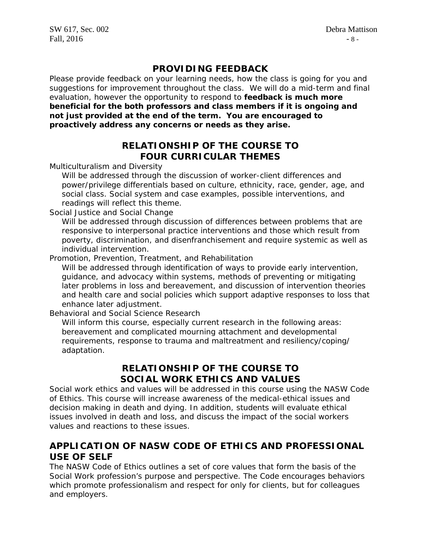## **PROVIDING FEEDBACK**

Please provide feedback on your learning needs, how the class is going for you and suggestions for improvement throughout the class. We will do a mid-term and final evaluation, however the opportunity to respond to **feedback is much more beneficial for the both professors and class members if it is ongoing and not just provided at the end of the term. You are encouraged to proactively address any concerns or needs as they arise.**

# **RELATIONSHIP OF THE COURSE TO FOUR CURRICULAR THEMES**

*Multiculturalism and Diversity*

Will be addressed through the discussion of worker-client differences and power/privilege differentials based on culture, ethnicity, race, gender, age, and social class. Social system and case examples, possible interventions, and readings will reflect this theme.

*Social Justice and Social Change* 

Will be addressed through discussion of differences between problems that are responsive to interpersonal practice interventions and those which result from poverty, discrimination, and disenfranchisement and require systemic as well as individual intervention.

*Promotion, Prevention, Treatment, and Rehabilitation* 

Will be addressed through identification of ways to provide early intervention, guidance, and advocacy within systems, methods of preventing or mitigating later problems in loss and bereavement, and discussion of intervention theories and health care and social policies which support adaptive responses to loss that enhance later adiustment.

*Behavioral and Social Science Research* 

Will inform this course, especially current research in the following areas: bereavement and complicated mourning attachment and developmental requirements, response to trauma and maltreatment and resiliency/coping/ adaptation.

# **RELATIONSHIP OF THE COURSE TO SOCIAL WORK ETHICS AND VALUES**

Social work ethics and values will be addressed in this course using the NASW Code of Ethics. This course will increase awareness of the medical-ethical issues and decision making in death and dying. In addition, students will evaluate ethical issues involved in death and loss, and discuss the impact of the social workers values and reactions to these issues.

# **APPLICATION OF NASW CODE OF ETHICS AND PROFESSIONAL USE OF SELF**

The NASW Code of Ethics outlines a set of core values that form the basis of the Social Work profession's purpose and perspective. The Code encourages behaviors which promote professionalism and respect for only for clients, but for colleagues and employers.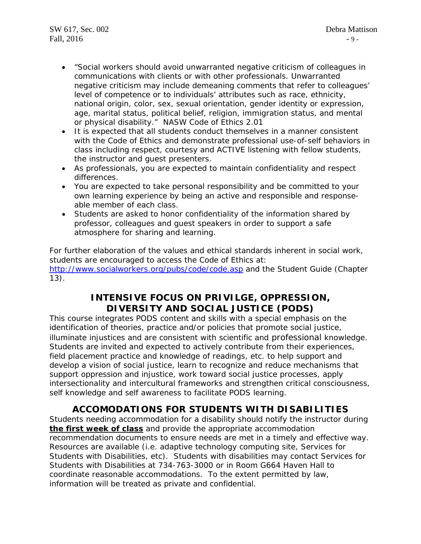- *"Social workers should avoid unwarranted negative criticism of colleagues in communications with clients or with other professionals. Unwarranted negative criticism may include demeaning comments that refer to colleagues' level of competence or to individuals' attributes such as race, ethnicity, national origin, color, sex, sexual orientation, gender identity or expression, age, marital status, political belief, religion, immigration status, and mental or physical disability."* NASW Code of Ethics 2.01
- It is expected that all students conduct themselves in a manner consistent with the Code of Ethics and demonstrate professional use-of-self behaviors in class including respect, courtesy and ACTIVE listening with fellow students, the instructor and guest presenters.
- As professionals, you are expected to maintain confidentiality and respect differences.
- You are expected to take personal responsibility and be committed to your own learning experience by being an active and responsible and responseable member of each class.
- Students are asked to honor confidentiality of the information shared by professor, colleagues and guest speakers in order to support a safe atmosphere for sharing and learning.

For further elaboration of the values and ethical standards inherent in social work, students are encouraged to access the Code of Ethics at: <http://www.socialworkers.org/pubs/code/code.asp> and the Student Guide (Chapter 13).

# **INTENSIVE FOCUS ON PRIVILGE, OPPRESSION, DIVERSITY AND SOCIAL JUSTICE (PODS)**

This course integrates PODS content and skills with a special emphasis on the identification of theories, practice and/or policies that promote social justice, illuminate injustices and are consistent with scientific and professional knowledge. Students are invited and expected to actively contribute from their experiences, field placement practice and knowledge of readings, etc. to help support and develop a vision of social justice, learn to recognize and reduce mechanisms that support oppression and injustice, work toward social justice processes, apply intersectionality and intercultural frameworks and strengthen critical consciousness, self knowledge and self awareness to facilitate PODS learning.

# **ACCOMODATIONS FOR STUDENTS WITH DISABILITIES**

Students needing accommodation for a disability should notify the instructor during **the first week of class** and provide the appropriate accommodation recommendation documents to ensure needs are met in a timely and effective way. Resources are available (i.e. adaptive technology computing site, Services for Students with Disabilities, etc). Students with disabilities may contact Services for Students with Disabilities at 734-763-3000 or in Room G664 Haven Hall to coordinate reasonable accommodations. To the extent permitted by law, information will be treated as private and confidential.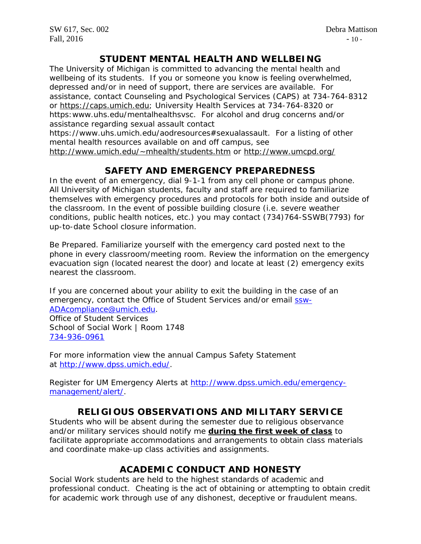SW 617, Sec. 002 Debra Mattison Fall,  $2016$  - 10 -

## **STUDENT MENTAL HEALTH AND WELLBEING**

The University of Michigan is committed to advancing the mental health and wellbeing of its students. If you or someone you know is feeling overwhelmed, depressed and/or in need of support, there are services are available. For assistance, contact Counseling and Psychological Services (CAPS) at 734-764-8312 or [https://caps.umich.edu;](https://caps.umich.edu/) University Health Services at 734-764-8320 or https:www.uhs.edu/mentalhealthsvsc. For alcohol and drug concerns and/or assistance regarding sexual assault contact

https://www.uhs.umich.edu/aodresources#sexualassault. For a listing of other mental health resources available on and off campus, see [http://www.umich.edu/~mhealth/students.htm](http://www.umich.edu/%7Emhealth/students.htm) or<http://www.umcpd.org/>

# **SAFETY AND EMERGENCY PREPAREDNESS**

In the event of an emergency, dial 9-1-1 from any cell phone or campus phone. All University of Michigan students, faculty and staff are required to familiarize themselves with emergency procedures and protocols for both inside and outside of the classroom. In the event of possible building closure (i.e. severe weather conditions, public health notices, etc.) you may contact (734)764-SSWB(7793) for up-to-date School closure information.

Be Prepared. Familiarize yourself with the emergency card posted next to the phone in every classroom/meeting room. Review the information on the emergency evacuation sign (located nearest the door) and locate at least (2) emergency exits nearest the classroom.

If you are concerned about your ability to exit the building in the case of an emergency, contact the Office of Student Services and/or email [ssw-](mailto:ssw-ADAcompliance@umich.edu)[ADAcompliance@umich.edu.](mailto:ssw-ADAcompliance@umich.edu) Office of Student Services School of Social Work | Room 1748 [734-936-0961](tel:734-936-0961)

For more information view the annual Campus Safety Statement at [http://www.dpss.umich.edu/.](http://www.dpss.umich.edu/)

Register for UM Emergency Alerts at [http://www.dpss.umich.edu/emergency](http://www.dpss.umich.edu/emergency-management/alert/)[management/alert/.](http://www.dpss.umich.edu/emergency-management/alert/)

## **RELIGIOUS OBSERVATIONS AND MILITARY SERVICE**

Students who will be absent during the semester due to religious observance and/or military services should notify me **during the first week of class** to facilitate appropriate accommodations and arrangements to obtain class materials and coordinate make-up class activities and assignments.

# **ACADEMIC CONDUCT AND HONESTY**

Social Work students are held to the highest standards of academic and professional conduct. Cheating is the act of obtaining or attempting to obtain credit for academic work through use of any dishonest, deceptive or fraudulent means.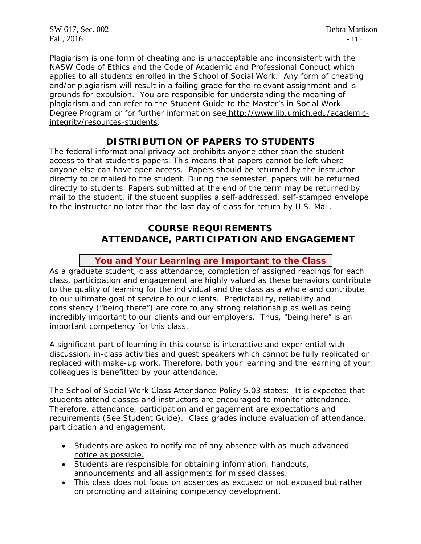SW 617, Sec. 002 Debra Mattison Fall,  $2016$  - 11 -

Plagiarism is one form of cheating and is unacceptable and inconsistent with the NASW Code of Ethics and the Code of Academic and Professional Conduct which applies to all students enrolled in the School of Social Work. Any form of cheating and/or plagiarism will result in a failing grade for the relevant assignment and is grounds for expulsion. You are responsible for understanding the meaning of plagiarism and can refer to the Student Guide to the Master's in Social Work Degree Program or for further information see http://www.lib.umich.edu/academicintegrity/resources-students.

# **DISTRIBUTION OF PAPERS TO STUDENTS**

The federal informational privacy act prohibits anyone other than the student access to that student's papers. This means that papers cannot be left where anyone else can have open access. Papers should be returned by the instructor directly to or mailed to the student. During the semester, papers will be returned directly to students. Papers submitted at the end of the term may be returned by mail to the student, if the student supplies a self-addressed, self-stamped envelope to the instructor no later than the last day of class for return by U.S. Mail.

# **COURSE REQUIREMENTS ATTENDANCE, PARTICIPATION AND ENGAGEMENT**

## **You and Your Learning are Important to the Class**

As a graduate student, class attendance, completion of assigned readings for each class, participation and engagement are highly valued as these behaviors contribute to the quality of learning for the individual and the class as a whole and contribute to our ultimate goal of service to our clients. Predictability, reliability and consistency ("being there") are core to any strong relationship as well as being incredibly important to our clients and our employers. Thus, "being here" is an important competency for this class.

A significant part of learning in this course is interactive and experiential with discussion, in-class activities and guest speakers which cannot be fully replicated or replaced with make-up work. Therefore, both your learning and the learning of your colleagues is benefitted by your attendance.

The School of Social Work Class Attendance Policy 5.03 states: It is expected that students attend classes and instructors are encouraged to monitor attendance. Therefore, attendance, participation and engagement are expectations and requirements (See Student Guide). Class grades include evaluation of attendance, participation and engagement.

- Students are asked to notify me of any absence with as much advanced notice as possible.
- Students are responsible for obtaining information, handouts, announcements and all assignments for missed classes.
- This class does not focus on absences as excused or not excused but rather on promoting and attaining competency development.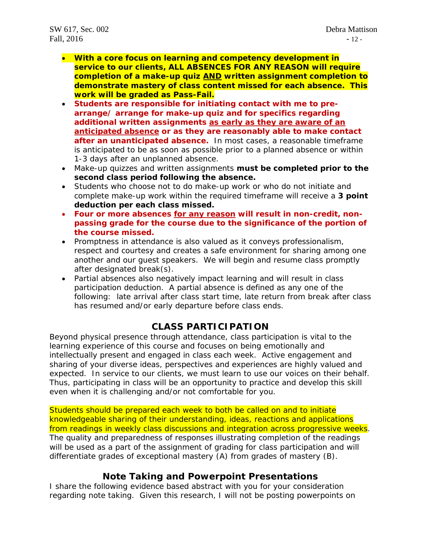- **With a core focus on learning and competency development in service to our clients, ALL ABSENCES FOR ANY REASON will require completion of a make-up quiz AND written assignment completion to demonstrate mastery of class content missed for each absence. This work will be graded as Pass-Fail.**
- **Students are responsible for initiating contact with me to prearrange/ arrange for make-up quiz and for specifics regarding additional written assignments as early as they are aware of an anticipated absence or as they are reasonably able to make contact after an unanticipated absence.** In most cases, a reasonable timeframe is anticipated to be as soon as possible prior to a planned absence or within 1-3 days after an unplanned absence.
- Make-up quizzes and written assignments **must be completed prior to the second class period following the absence.**
- Students who choose not to do make-up work or who do not initiate and complete make-up work within the required timeframe will receive a **3 point deduction per each class missed.**
- **Four or more absences for any reason will result in non-credit, nonpassing grade for the course due to the significance of the portion of the course missed.**
- Promptness in attendance is also valued as it conveys professionalism, respect and courtesy and creates a safe environment for sharing among one another and our guest speakers. We will begin and resume class promptly after designated break(s).
- Partial absences also negatively impact learning and will result in class participation deduction. A partial absence is defined as any one of the following: late arrival after class start time, late return from break after class has resumed and/or early departure before class ends.

# **CLASS PARTICIPATION**

Beyond physical presence through attendance, class participation is vital to the learning experience of this course and focuses on being emotionally and intellectually present and engaged in class each week. Active engagement and sharing of your diverse ideas, perspectives and experiences are highly valued and expected. In service to our clients, we must learn to use our voices on their behalf. Thus, participating in class will be an opportunity to practice and develop this skill even when it is challenging and/or not comfortable for you.

Students should be prepared each week to both be called on and to initiate knowledgeable sharing of their understanding, ideas, reactions and applications from readings in weekly class discussions and integration across progressive weeks. The quality and preparedness of responses illustrating completion of the readings will be used as a part of the assignment of grading for class participation and will differentiate grades of exceptional mastery (A) from grades of mastery (B).

## **Note Taking and Powerpoint Presentations**

I share the following evidence based abstract with you for your consideration regarding note taking. Given this research, I will not be posting powerpoints on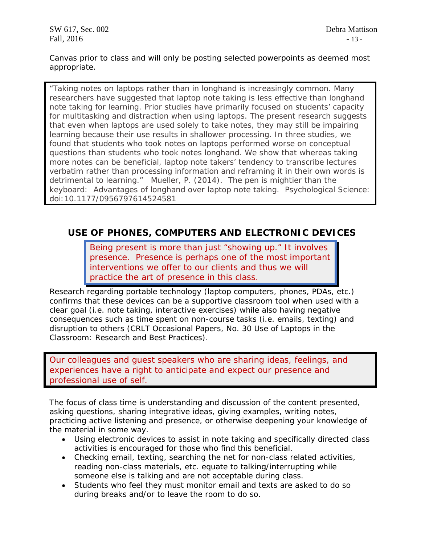Canvas prior to class and will only be posting selected powerpoints as deemed most appropriate.

*"Taking notes on laptops rather than in longhand is increasingly common. Many researchers have suggested that laptop note taking is less effective than longhand note taking for learning. Prior studies have primarily focused on students' capacity for multitasking and distraction when using laptops. The present research suggests that even when laptops are used solely to take notes, they may still be impairing learning because their use results in shallower processing. In three studies, we found that students who took notes on laptops performed worse on conceptual questions than students who took notes longhand. We show that whereas taking more notes can be beneficial, laptop note takers' tendency to transcribe lectures verbatim rather than processing information and reframing it in their own words is detrimental to learning."* Mueller, P. (2014). The pen is mightier than the keyboard: Advantages of longhand over laptop note taking. *Psychological Science*: doi:10.1177/0956797614524581

# **USE OF PHONES, COMPUTERS AND ELECTRONIC DEVICES**

Being *present* is more than just "showing up." It involves *presence.* Presence is perhaps one of the most important interventions we offer to our clients and thus we will practice the art of presence in this class.

Research regarding portable technology (laptop computers, phones, PDAs, etc.) confirms that these devices can be a supportive classroom tool when used with a clear goal (i.e. note taking, interactive exercises) while also having negative consequences such as time spent on non-course tasks (i.e. emails, texting) and disruption to others *(CRLT Occasional Papers, No. 30 Use of Laptops in the Classroom: Research and Best Practices*).

Our colleagues and guest speakers who are sharing ideas, feelings, and experiences have a right to anticipate and expect our presence and professional use of self.

The focus of class time is understanding and discussion of the content presented, asking questions, sharing integrative ideas, giving examples, writing notes, practicing active listening and presence, or otherwise deepening your knowledge of the material in some way.

- Using electronic devices to assist in note taking and specifically directed class activities is encouraged for those who find this beneficial.
- Checking email, texting, searching the net for non-class related activities, reading non-class materials, etc. equate to talking/interrupting while someone else is talking and are not acceptable during class.
- Students who feel they must monitor email and texts are asked to do so during breaks and/or to leave the room to do so.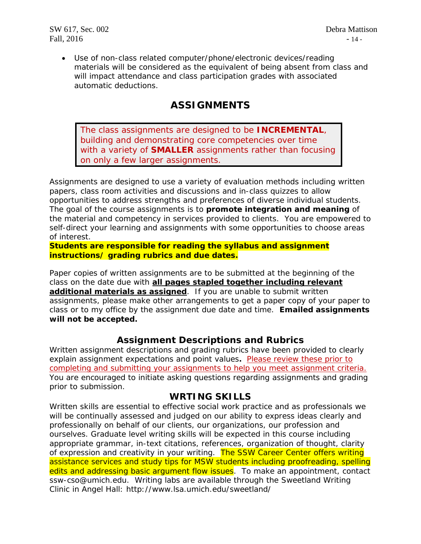SW 617, Sec. 002 Debra Mattison Fall,  $2016$  - 14 -

• Use of non-class related computer/phone/electronic devices/reading materials will be considered as the equivalent of being absent from class and will impact attendance and class participation grades with associated automatic deductions.

# **ASSIGNMENTS**

The class assignments are designed to be **INCREMENTAL**, building and demonstrating core competencies over time with a variety of **SMALLER** assignments rather than focusing on only a few larger assignments.

Assignments are designed to use a variety of evaluation methods including written papers, class room activities and discussions and in-class quizzes to allow opportunities to address strengths and preferences of diverse individual students. The goal of the course assignments is to **promote integration and meaning** of the material and competency in services provided to clients. You are empowered to self-direct your learning and assignments with some opportunities to choose areas of interest.

**Students are responsible for reading the syllabus and assignment instructions/ grading rubrics and due dates.**

Paper copies of written assignments are to be submitted at the beginning of the class on the date due with **all pages stapled together including relevant additional materials as assigned**. If you are unable to submit written assignments, please make other arrangements to get a paper copy of your paper to class or to my office by the assignment due date and time. **Emailed assignments will not be accepted.** 

## **Assignment Descriptions and Rubrics**

Written assignment descriptions and grading rubrics have been provided to clearly explain assignment expectations and point values**.** Please review these prior to completing and submitting your assignments to help you meet assignment criteria. You are encouraged to initiate asking questions regarding assignments and grading prior to submission.

## **WRTING SKILLS**

Written skills are essential to effective social work practice and as professionals we will be continually assessed and judged on our ability to express ideas clearly and professionally on behalf of our clients, our organizations, our profession and ourselves. Graduate level writing skills will be expected in this course including appropriate grammar, in-text citations, references, organization of thought, clarity of expression and creativity in your writing. The SSW Career Center offers writing assistance services and study tips for MSW students including proofreading, spelling edits and addressing basic argument flow issues. To make an appointment, contact ssw-cso@umich.edu. Writing labs are available through the Sweetland Writing Clinic in Angel Hall: http://www.lsa.umich.edu/sweetland/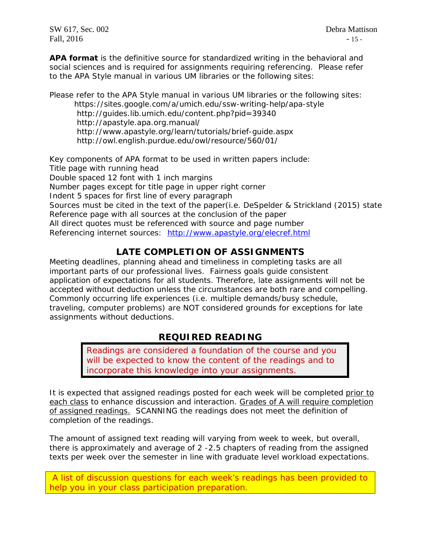SW 617, Sec. 002 Debra Mattison Fall,  $2016$  - 15 -

**APA format** is the definitive source for standardized writing in the behavioral and social sciences and is required for assignments requiring referencing. Please refer to the APA Style manual in various UM libraries or the following sites:

Please refer to the APA Style manual in various UM libraries or the following sites:

https://sites.google.com/a/umich.edu/ssw-writing-help/apa-style http://guides.lib.umich.edu/content.php?pid=39340 http://apastyle.apa.org.manual/ http://www.apastyle.org/learn/tutorials/brief-guide.aspx http://owl.english.purdue.edu/owl/resource/560/01/

Key components of APA format to be used in written papers include:

Title page with running head

Double spaced 12 font with 1 inch margins

Number pages except for title page in upper right corner

Indent 5 spaces for first line of every paragraph

Sources must be cited in the text of the paper(i.e. DeSpelder & Strickland (2015) state Reference page with all sources at the conclusion of the paper

All direct quotes must be referenced with source and page number

Referencing internet sources: <http://www.apastyle.org/elecref.html>

# **LATE COMPLETION OF ASSIGNMENTS**

Meeting deadlines, planning ahead and timeliness in completing tasks are all important parts of our professional lives. Fairness goals guide consistent application of expectations for all students. Therefore, late assignments will not be accepted without deduction unless the circumstances are both rare and compelling. Commonly occurring life experiences (i.e. multiple demands/busy schedule, traveling, computer problems) are NOT considered grounds for exceptions for late assignments without deductions.

## **REQUIRED READING**

Readings are considered a foundation of the course and you will be expected to know the content of the readings and to incorporate this knowledge into your assignments.

It is expected that assigned readings posted for each week will be completed prior to each class to enhance discussion and interaction. Grades of A will require completion of assigned readings. SCANNING the readings does not meet the definition of completion of the readings.

The amount of assigned text reading will varying from week to week, but overall, there is approximately and average of 2 -2.5 chapters of reading from the assigned texts per week over the semester in line with graduate level workload expectations.

A list of discussion questions for each week's readings has been provided to help you in your class participation preparation.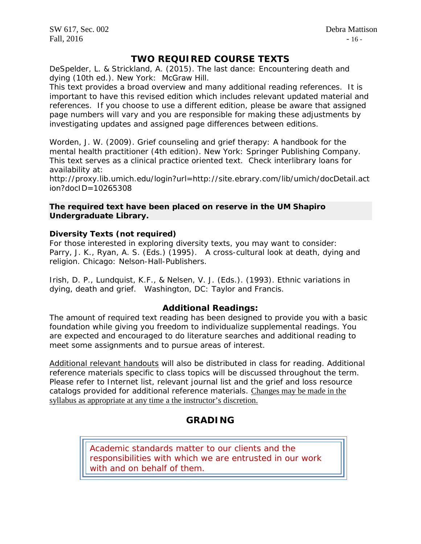SW 617, Sec. 002 Debra Mattison Fall,  $2016$  - 16 -

## **TWO REQUIRED COURSE TEXTS**

DeSpelder, L. & Strickland, A. (2015). *The last dance: Encountering death and dying* (10th ed.). New York: McGraw Hill.

*This text provides a broad overview and many additional reading references. It is important to have this revised edition which includes relevant updated material and references.* If you choose to use a different edition, please be aware that assigned page numbers will vary and you are responsible for making these adjustments by investigating updates and assigned page differences between editions.

Worden, J. W. (2009). *Grief counseling and grief therapy: A handbook for the mental health practitioner* (4th edition). New York: Springer Publishing Company. *This text serves as a clinical practice oriented text.* Check interlibrary loans for availability at:

http://proxy.lib.umich.edu/login?url=http://site.ebrary.com/lib/umich/docDetail.act ion?docID=10265308

#### **The required text have been placed on reserve in the UM Shapiro Undergraduate Library.**

#### **Diversity Texts (not required)**

For those interested in exploring diversity texts, you may want to consider: Parry, J. K., Ryan, A. S. (Eds.) (1995). *A cross-cultural look at death, dying and religion*. Chicago: Nelson-Hall-Publishers.

Irish, D. P., Lundquist, K.F., & Nelsen, V. J. (Eds.). (1993). *Ethnic variations in dying, death and grief*. Washington, DC: Taylor and Francis.

#### **Additional Readings:**

The amount of required text reading has been designed to provide you with a basic foundation while giving you freedom to individualize supplemental readings. You are expected and encouraged to do literature searches and additional reading to meet some assignments and to pursue areas of interest.

Additional relevant handouts will also be distributed in class for reading. Additional reference materials specific to class topics will be discussed throughout the term. Please refer to Internet list, relevant journal list and the grief and loss resource catalogs provided for additional reference materials. Changes may be made in the syllabus as appropriate at any time a the instructor's discretion.

# **GRADING**

*Academic standards matter to our clients and the responsibilities with which we are entrusted in our work with and on behalf of them.*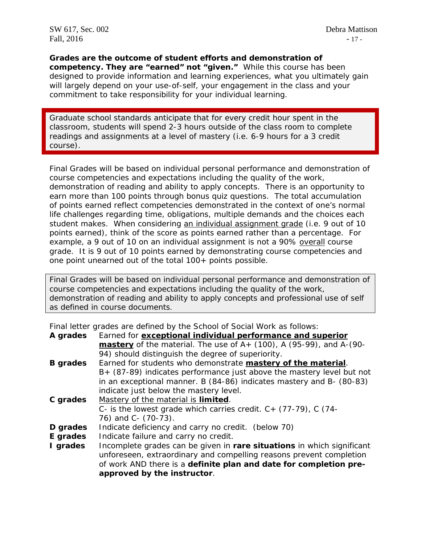**Grades are the outcome of student efforts and demonstration of competency.** *They are "earned" not "given."* While this course has been designed to provide information and learning experiences, what you ultimately gain will largely depend on your use-of-self, your engagement in the class and your commitment to take responsibility for your individual learning.

Graduate school standards anticipate that for every credit hour spent in the classroom, students will spend 2-3 hours outside of the class room to complete readings and assignments at a level of mastery (i.e. 6-9 hours for a 3 credit course).

Final Grades will be based on individual personal performance and demonstration of course competencies and expectations including the quality of the work, demonstration of reading and ability to apply concepts. There is an opportunity to earn more than 100 points through bonus quiz questions. The total accumulation of points earned reflect competencies demonstrated in the context of one's normal life challenges regarding time, obligations, multiple demands and the choices each student makes. When considering an individual assignment grade (i.e. 9 out of 10 points earned), think of the score as points earned rather than a percentage. For example, a 9 out of 10 on an individual assignment is not a 90% overall course grade. It is 9 out of 10 points earned by demonstrating course competencies and one point unearned out of the total 100+ points possible.

Final Grades will be based on individual personal performance and demonstration of course competencies and expectations including the quality of the work, demonstration of reading and ability to apply concepts and professional use of self as defined in course documents.

Final letter grades are defined by the School of Social Work as follows:

| A grades        | Earned for exceptional individual performance and superior                     |
|-----------------|--------------------------------------------------------------------------------|
|                 | <b>mastery</b> of the material. The use of $A + (100)$ , A (95-99), and A-(90- |
|                 | 94) should distinguish the degree of superiority.                              |
| <b>B</b> grades | Earned for students who demonstrate mastery of the material.                   |
|                 | B+ (87-89) indicates performance just above the mastery level but not          |
|                 | in an exceptional manner. B (84-86) indicates mastery and B- (80-83)           |
|                 | indicate just below the mastery level.                                         |
| C grades        | Mastery of the material is limited.                                            |
|                 | C- is the lowest grade which carries credit. $C + (77-79)$ , C (74-            |
|                 | 76) and C- (70-73).                                                            |
| D grades        | Indicate deficiency and carry no credit. (below 70)                            |
| E grades        | Indicate failure and carry no credit.                                          |
| I grades        | Incomplete grades can be given in rare situations in which significant         |
|                 | unforeseen, extraordinary and compelling reasons prevent completion            |
|                 | of work AND there is a definite plan and date for completion pre-              |
|                 | approved by the instructor.                                                    |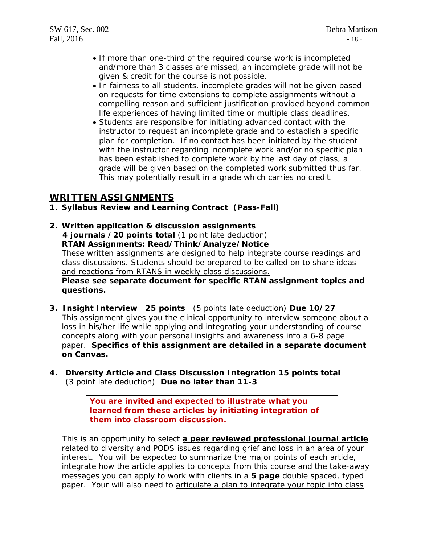- If more than one-third of the required course work is incompleted and/more than 3 classes are missed, an incomplete grade will not be given & credit for the course is not possible.
- In fairness to all students, incomplete grades will not be given based on requests for time extensions to complete assignments without a compelling reason and sufficient justification provided beyond common life experiences of having limited time or multiple class deadlines.
- Students are responsible for initiating advanced contact with the instructor to request an incomplete grade and to establish a specific plan for completion. If no contact has been initiated by the student with the instructor regarding incomplete work and/or no specific plan has been established to complete work by the last day of class, a grade will be given based on the completed work submitted thus far. This may potentially result in a grade which carries no credit.

## **WRITTEN ASSIGNMENTS**

- **1. Syllabus Review and Learning Contract (Pass-Fall)**
- **2. Written application & discussion assignments 4 journals /20 points total** (1 point late deduction) **RTAN Assignments: Read/Think/Analyze/Notice** These written assignments are designed to help integrate course readings and class discussions. Students should be prepared to be called on to share ideas and reactions from RTANS in weekly class discussions. **Please see separate document for specific RTAN assignment topics and questions.**
- **3. Insight Interview 25 points** (5 points late deduction) **Due 10/27** This assignment gives you the clinical opportunity to interview someone about a loss in his/her life while applying and integrating your understanding of course concepts along with your personal insights and awareness into a 6-8 page paper. **Specifics of this assignment are detailed in a separate document on Canvas.**
- **4. Diversity Article and Class Discussion Integration 15 points total** (3 point late deduction) **Due no later than 11-3**

**You are invited and expected to illustrate what you learned from these articles by initiating integration of them into classroom discussion.**

This is an opportunity to select **a peer reviewed professional journal article** related to diversity and PODS issues regarding grief and loss in an area of your interest. You will be expected to summarize the major points of each article, integrate how the article applies to concepts from this course and the take-away messages you can apply to work with clients in a **5 page** double spaced, typed paper. Your will also need to articulate a plan to integrate your topic into class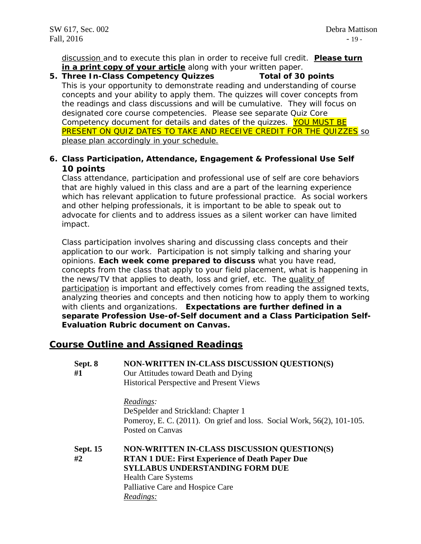discussion and to execute this plan in order to receive full credit. **Please turn in a print copy of your article** along with your written paper.

**5. Three In-Class Competency Quizzes Total of 30 points** This is your opportunity to demonstrate reading and understanding of course concepts and your ability to apply them. The quizzes will cover concepts from the readings and class discussions and will be cumulative. They will focus on designated core course competencies. Please see separate Quiz Core Competency document for details and dates of the quizzes. YOU MUST BE PRESENT ON QUIZ DATES TO TAKE AND RECEIVE CREDIT FOR THE QUIZZES so please plan accordingly in your schedule.

### **6. Class Participation, Attendance, Engagement & Professional Use Self 10 points**

Class attendance, participation and professional use of self are core behaviors that are highly valued in this class and are a part of the learning experience which has relevant application to future professional practice. As social workers and other helping professionals, it is important to be able to speak out to advocate for clients and to address issues as a silent worker can have limited impact.

Class participation involves sharing and discussing class concepts and their application to our work. Participation is not simply talking and sharing your opinions. **Each week come prepared to discuss** what you have read, concepts from the class that apply to your field placement, what is happening in the news/TV that applies to death, loss and grief, etc. The quality of participation is important and effectively comes from reading the assigned texts, analyzing theories and concepts and then noticing how to apply them to working with clients and organizations. **Expectations are further defined in a separate Profession Use-of-Self document and a Class Participation Self-Evaluation Rubric document on Canvas.**

## **Course Outline and Assigned Readings**

| Sept. 8<br>#1         | NON-WRITTEN IN-CLASS DISCUSSION QUESTION(S)<br>Our Attitudes toward Death and Dying<br><b>Historical Perspective and Present Views</b>                                                                                         |  |
|-----------------------|--------------------------------------------------------------------------------------------------------------------------------------------------------------------------------------------------------------------------------|--|
|                       | Readings:<br>DeSpelder and Strickland: Chapter 1<br>Pomeroy, E. C. (2011). On grief and loss. Social Work, 56(2), 101-105.<br>Posted on Canvas                                                                                 |  |
| <b>Sept. 15</b><br>#2 | NON-WRITTEN IN-CLASS DISCUSSION QUESTION(S)<br><b>RTAN 1 DUE: First Experience of Death Paper Due</b><br><b>SYLLABUS UNDERSTANDING FORM DUE</b><br><b>Health Care Systems</b><br>Palliative Care and Hospice Care<br>Readings: |  |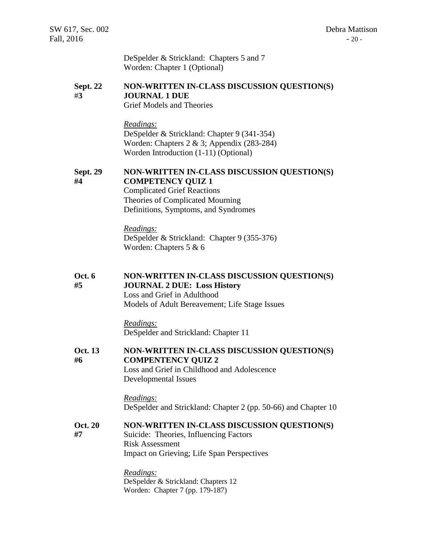DeSpelder & Strickland: Chapters 5 and 7 Worden: Chapter 1 (Optional)

#### **Sept. 22 NON-WRITTEN IN-CLASS DISCUSSION QUESTION(S)** #**3 JOURNAL 1 DUE** Grief Models and Theories

*Readings:* DeSpelder & Strickland: Chapter 9 (341-354) Worden: Chapters 2 & 3; Appendix (283-284) Worden Introduction (1-11) (Optional)

#### **Sept. 29 NON-WRITTEN IN-CLASS DISCUSSION QUESTION(S) #4 COMPETENCY QUIZ 1**

Complicated Grief Reactions Theories of Complicated Mourning Definitions, Symptoms, and Syndromes

*Readings:*

DeSpelder & Strickland: Chapter 9 (355-376) Worden: Chapters 5 & 6

# **Oct. 6 NON-WRITTEN IN-CLASS DISCUSSION QUESTION(S)**

#### **#5 JOURNAL 2 DUE: Loss History**

Loss and Grief in Adulthood Models of Adult Bereavement; Life Stage Issues

*Readings:* DeSpelder and Strickland: Chapter 11

#### **Oct. 13 NON-WRITTEN IN-CLASS DISCUSSION QUESTION(S) #6 COMPENTENCY QUIZ 2** Loss and Grief in Childhood and Adolescence

Developmental Issues

*Readings:* DeSpelder and Strickland: Chapter 2 (pp. 50-66) and Chapter 10

## **Oct. 20 NON-WRITTEN IN-CLASS DISCUSSION QUESTION(S)**

**#7** Suicide: Theories, Influencing Factors Risk Assessment Impact on Grieving; Life Span Perspectives

> *Readings:* DeSpelder & Strickland: Chapters 12 Worden: Chapter 7 (pp. 179-187)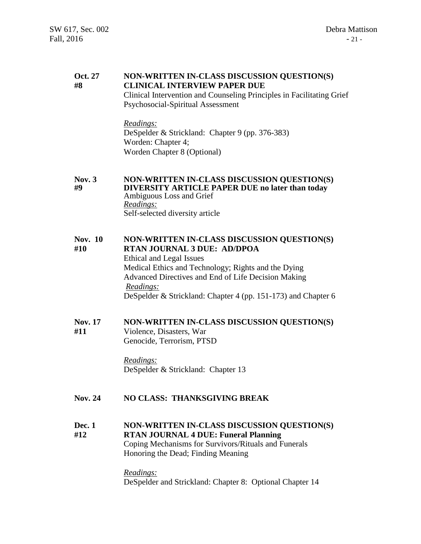#### **Oct. 27 NON-WRITTEN IN-CLASS DISCUSSION QUESTION(S) #8 CLINICAL INTERVIEW PAPER DUE** Clinical Intervention and Counseling Principles in Facilitating Grief

Psychosocial-Spiritual Assessment

*Readings:* DeSpelder & Strickland: Chapter 9 (pp. 376-383) Worden: Chapter 4; Worden Chapter 8 (Optional)

#### **Nov. 3 NON-WRITTEN IN-CLASS DISCUSSION QUESTION(S) #9 DIVERSITY ARTICLE PAPER DUE no later than today** Ambiguous Loss and Grief *Readings:* Self-selected diversity article

#### **Nov. 10 NON-WRITTEN IN-CLASS DISCUSSION QUESTION(S) #10 RTAN JOURNAL 3 DUE: AD/DPOA**

Ethical and Legal Issues Medical Ethics and Technology; Rights and the Dying Advanced Directives and End of Life Decision Making *Readings:* DeSpelder & Strickland: Chapter 4 (pp. 151-173) and Chapter 6

## **Nov. 17 NON-WRITTEN IN-CLASS DISCUSSION QUESTION(S) #11** Violence, Disasters, War

Genocide, Terrorism, PTSD

*Readings:* DeSpelder & Strickland: Chapter 13

## **Nov. 24 NO CLASS: THANKSGIVING BREAK**

#### **Dec. 1 NON-WRITTEN IN-CLASS DISCUSSION QUESTION(S) #12 RTAN JOURNAL 4 DUE: Funeral Planning**

Coping Mechanisms for Survivors/Rituals and Funerals Honoring the Dead; Finding Meaning

*Readings:* DeSpelder and Strickland: Chapter 8: Optional Chapter 14